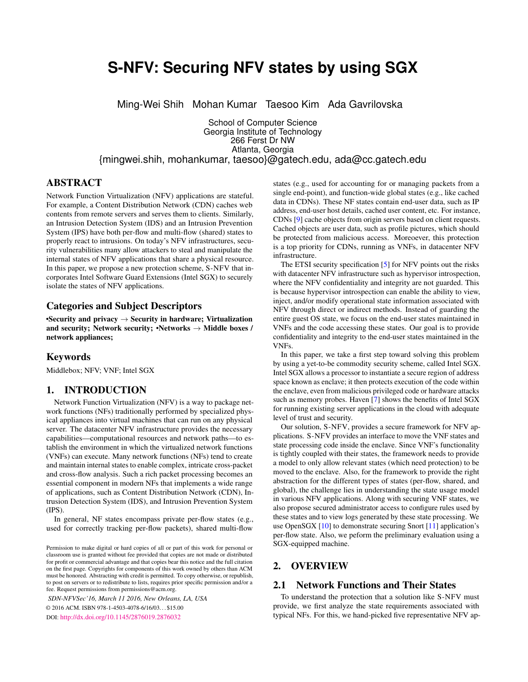# **S-NFV: Securing NFV states by using SGX**

Ming-Wei Shih Mohan Kumar Taesoo Kim Ada Gavrilovska

School of Computer Science Georgia Institute of Technology 266 Ferst Dr NW Atlanta, Georgia {mingwei.shih, mohankumar, taesoo}@gatech.edu, ada@cc.gatech.edu

### ABSTRACT

Network Function Virtualization (NFV) applications are stateful. For example, a Content Distribution Network (CDN) caches web contents from remote servers and serves them to clients. Similarly, an Intrusion Detection System (IDS) and an Intrusion Prevention System (IPS) have both per-flow and multi-flow (shared) states to properly react to intrusions. On today's NFV infrastructures, security vulnerabilities many allow attackers to steal and manipulate the internal states of NFV applications that share a physical resource. In this paper, we propose a new protection scheme, S-NFV that incorporates Intel Software Guard Extensions (Intel SGX) to securely isolate the states of NFV applications.

# Categories and Subject Descriptors

•Security and privacy  $\rightarrow$  Security in hardware; Virtualization and security; Network security; •Networks  $\rightarrow$  Middle boxes / network appliances;

### Keywords

Middlebox; NFV; VNF; Intel SGX

# 1. INTRODUCTION

Network Function Virtualization (NFV) is a way to package network functions (NFs) traditionally performed by specialized physical appliances into virtual machines that can run on any physical server. The datacenter NFV infrastructure provides the necessary capabilities—computational resources and network paths—to establish the environment in which the virtualized network functions (VNFs) can execute. Many network functions (NFs) tend to create and maintain internal states to enable complex, intricate cross-packet and cross-flow analysis. Such a rich packet processing becomes an essential component in modern NFs that implements a wide range of applications, such as Content Distribution Network (CDN), Intrusion Detection System (IDS), and Intrusion Prevention System (IPS).

In general, NF states encompass private per-flow states (e.g., used for correctly tracking per-flow packets), shared multi-flow

*SDN-NFVSec'16, March 11 2016, New Orleans, LA, USA* © 2016 ACM. ISBN 978-1-4503-4078-6/16/03. . . \$15.00

DOI: <http://dx.doi.org/10.1145/2876019.2876032>

states (e.g., used for accounting for or managing packets from a single end-point), and function-wide global states (e.g., like cached data in CDNs). These NF states contain end-user data, such as IP address, end-user host details, cached user content, etc. For instance, CDNs [\[9\]](#page-3-0) cache objects from origin servers based on client requests. Cached objects are user data, such as profile pictures, which should be protected from malicious access. Moreoever, this protection is a top priority for CDNs, running as VNFs, in datacenter NFV infrastructure.

The ETSI security specification [\[5\]](#page-3-1) for NFV points out the risks with datacenter NFV infrastructure such as hypervisor introspection, where the NFV confidentiality and integrity are not guarded. This is because hypervisor introspection can enable the ability to view, inject, and/or modify operational state information associated with NFV through direct or indirect methods. Instead of guarding the entire guest OS state, we focus on the end-user states maintained in VNFs and the code accessing these states. Our goal is to provide confidentiality and integrity to the end-user states maintained in the VNFs.

In this paper, we take a first step toward solving this problem by using a yet-to-be commodity security scheme, called Intel SGX. Intel SGX allows a processor to instantiate a secure region of address space known as enclave; it then protects execution of the code within the enclave, even from malicious privileged code or hardware attacks such as memory probes. Haven [\[7\]](#page-3-2) shows the benefits of Intel SGX for running existing server applications in the cloud with adequate level of trust and security.

Our solution, S-NFV, provides a secure framework for NFV applications. S-NFV provides an interface to move the VNF states and state processing code inside the enclave. Since VNF's functionality is tightly coupled with their states, the framework needs to provide a model to only allow relevant states (which need protection) to be moved to the enclave. Also, for the framework to provide the right abstraction for the different types of states (per-flow, shared, and global), the challenge lies in understanding the state usage model in various NFV applications. Along with securing VNF states, we also propose secured administrator access to configure rules used by these states and to view logs generated by these state processing. We use OpenSGX [\[10\]](#page-3-3) to demonstrate securing Snort [\[11\]](#page-3-4) application's per-flow state. Also, we peform the preliminary evaluation using a SGX-equipped machine.

# 2. OVERVIEW

# 2.1 Network Functions and Their States

To understand the protection that a solution like S-NFV must provide, we first analyze the state requirements associated with typical NFs. For this, we hand-picked five representative NFV ap-

Permission to make digital or hard copies of all or part of this work for personal or classroom use is granted without fee provided that copies are not made or distributed for profit or commercial advantage and that copies bear this notice and the full citation on the first page. Copyrights for components of this work owned by others than ACM must be honored. Abstracting with credit is permitted. To copy otherwise, or republish, to post on servers or to redistribute to lists, requires prior specific permission and/or a fee. Request permissions from permissions@acm.org.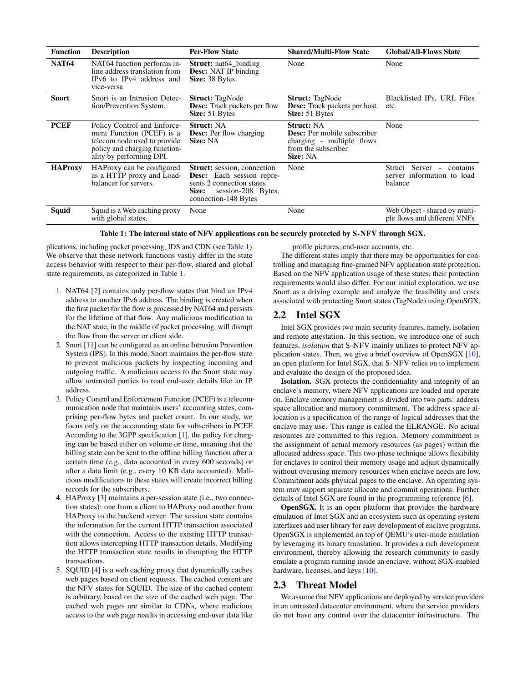<span id="page-1-0"></span>

| <b>Function</b> | <b>Description</b>                                                                                                                                    | <b>Per-Flow State</b>                                                                                                                                      | <b>Shared/Multi-Flow State</b>                                                                                          | <b>Global/All-Flows State</b>                                         |
|-----------------|-------------------------------------------------------------------------------------------------------------------------------------------------------|------------------------------------------------------------------------------------------------------------------------------------------------------------|-------------------------------------------------------------------------------------------------------------------------|-----------------------------------------------------------------------|
| <b>NAT64</b>    | NAT64 function performs in-<br>line address translation from<br>IPv6 to IPv4 address and<br>vice-versa                                                | <b>Struct:</b> nat64_binding<br><b>Desc:</b> NAT IP binding<br>Size: 38 Bytes                                                                              | None                                                                                                                    | None                                                                  |
| <b>Snort</b>    | Snort is an Intrusion Detec-<br>tion/Prevention System.                                                                                               | <b>Struct:</b> TagNode<br><b>Desc:</b> Track packets per flow<br>Size: 51 Bytes                                                                            | <b>Struct: TagNode</b><br><b>Desc:</b> Track packets per host<br>Size: 51 Bytes                                         | Blacklisted IPs, URI, Files<br>etc                                    |
| <b>PCEF</b>     | Policy Control and Enforce-<br>ment Function (PCEF) is a<br>telecom node used to provide<br>policy and charging function-<br>ality by performing DPI. | <b>Struct:</b> NA<br>Desc: Per flow charging<br>Size: NA                                                                                                   | <b>Struct: NA</b><br><b>Desc:</b> Per mobile subscriber<br>charging - multiple flows<br>from the subscriber<br>Size: NA | None                                                                  |
| <b>HAProxy</b>  | HAProxy can be configured<br>as a HTTP proxy and Load-<br>balancer for servers.                                                                       | <b>Struct:</b> session, connection<br><b>Desc:</b> Each session repre-<br>sents 2 connection states<br>Size:<br>session-208 Bytes,<br>connection-148 Bytes | None                                                                                                                    | Server<br>Struct<br>contains<br>server information to load<br>balance |
| Squid           | Squid is a Web caching proxy<br>with global states.                                                                                                   | None                                                                                                                                                       | None                                                                                                                    | Web Object - shared by multi-<br>ple flows and different VNFs         |

Table 1: The internal state of NFV applications can be securely protected by S-NFV through SGX.

plications, including packet processing, IDS and CDN (see [Table 1\)](#page-1-0). We observe that these network functions vastly differ in the state access behavior with respect to their per-flow, shared and global state requirements, as categorized in [Table 1.](#page-1-0)

- 1. NAT64 [\[2\]](#page-3-5) contains only per-flow states that bind an IPv4 address to another IPv6 address. The binding is created when the first packet for the flow is processed by NAT64 and persists for the lifetime of that flow. Any malicious modification to the NAT state, in the middle of packet processing, will disrupt the flow from the server or client side.
- 2. Snort [\[11\]](#page-3-4) can be configured as an online Intrusion Prevention System (IPS). In this mode, Snort maintains the per-flow state to prevent malicious packets by inspecting incoming and outgoing traffic. A malicious access to the Snort state may allow untrusted parties to read end-user details like an IP address.
- 3. Policy Control and Enforcement Function (PCEF) is a telecommunication node that maintains users' accounting states, comprising per-flow bytes and packet count. In our study, we focus only on the accounting state for subscribers in PCEF. According to the 3GPP specification [\[1\]](#page-3-6), the policy for charging can be based either on volume or time, meaning that the billing state can be sent to the offline billing function after a certain time (e.g., data accounted in every 600 seconds) or after a data limit (e.g., every 10 KB data accounted). Malicious modifications to these states will create incorrect billing records for the subscribers.
- 4. HAProxy [\[3\]](#page-3-7) maintains a per-session state (i.e., two connection states): one from a client to HAProxy and another from HAProxy to the backend server. The session state contains the information for the current HTTP transaction associated with the connection. Access to the existing HTTP transaction allows intercepting HTTP transaction details. Modifying the HTTP transaction state results in disrupting the HTTP transactions.
- 5. SQUID [\[4\]](#page-3-8) is a web caching proxy that dynamically caches web pages based on client requests. The cached content are the NFV states for SQUID. The size of the cached content is arbitrary, based on the size of the cached web page. The cached web pages are similar to CDNs, where malicious access to the web page results in accessing end-user data like

profile pictures, end-user accounts, etc.

The different states imply that there may be opportunities for controlling and managing fine-grained NFV application state protection. Based on the NFV application usage of these states, their protection requirements would also differ. For our initial exploration, we use Snort as a driving example and analyze the feasibility and costs associated with protecting Snort states (TagNode) using OpenSGX.

# 2.2 Intel SGX

Intel SGX provides two main security features, namely, isolation and remote attestation. In this section, we introduce one of such features, *isolation* that S-NFV mainly utilizes to protect NFV application states. Then, we give a brief overview of OpenSGX [\[10\]](#page-3-3), an open platform for Intel SGX, that S-NFV relies on to implement and evaluate the design of the proposed idea.

Isolation. SGX protects the confidentiality and integrity of an enclave's memory, where NFV applications are loaded and operate on. Enclave memory management is divided into two parts: address space allocation and memory commitment. The address space allocation is a specification of the range of logical addresses that the enclave may use. This range is called the ELRANGE. No actual resources are committed to this region. Memory commitment is the assignment of actual memory resources (as pages) within the allocated address space. This two-phase technique allows flexibility for enclaves to control their memory usage and adjust dynamically without overusing memory resources when enclave needs are low. Commitment adds physical pages to the enclave. An operating system may support separate allocate and commit operations. Further details of Intel SGX are found in the programming reference [\[6\]](#page-3-9).

OpenSGX. It is an open platform that provides the hardware emulation of Intel SGX and an ecosystem such as operating system interfaces and user library for easy development of enclave programs. OpenSGX is implemented on top of QEMU's user-mode emulation by leveraging its binary translation. It provides a rich development environment, thereby allowing the research community to easily emulate a program running inside an enclave, without SGX-enabled hardware, licenses, and keys [\[10\]](#page-3-3).

# 2.3 Threat Model

We assume that NFV applications are deployed by service providers in an untrusted datacenter environment, where the service providers do not have any control over the datacenter infrastructure. The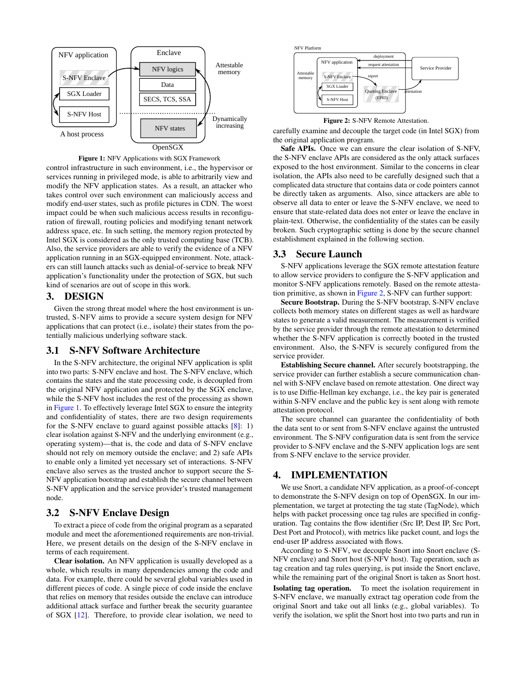<span id="page-2-0"></span>

Figure 1: NFV Applications with SGX Framework

control infrastructure in such environment, i.e., the hypervisor or services running in privileged mode, is able to arbitrarily view and modify the NFV application states. As a result, an attacker who takes control over such environment can maliciously access and modify end-user states, such as profile pictures in CDN. The worst impact could be when such malicious access results in reconfiguration of firewall, routing policies and modifying tenant network address space, etc. In such setting, the memory region protected by Intel SGX is considered as the only trusted computing base (TCB). Also, the service providers are able to verify the evidence of a NFV application running in an SGX-equipped environment. Note, attackers can still launch attacks such as denial-of-service to break NFV application's functionality under the protection of SGX, but such kind of scenarios are out of scope in this work.

#### 3. DESIGN

Given the strong threat model where the host environment is untrusted, S-NFV aims to provide a secure system design for NFV applications that can protect (i.e., isolate) their states from the potentially malicious underlying software stack.

# 3.1 S-NFV Software Architecture

In the S-NFV architecture, the original NFV application is split into two parts: S-NFV enclave and host. The S-NFV enclave, which contains the states and the state processing code, is decoupled from the original NFV application and protected by the SGX enclave, while the S-NFV host includes the rest of the processing as shown in [Figure 1.](#page-2-0) To effectively leverage Intel SGX to ensure the integrity and confidentiality of states, there are two design requirements for the S-NFV enclave to guard against possible attacks [\[8\]](#page-3-10): 1) clear isolation against S-NFV and the underlying environment (e.g., operating system)—that is, the code and data of S-NFV enclave should not rely on memory outside the enclave; and 2) safe APIs to enable only a limited yet necessary set of interactions. S-NFV enclave also serves as the trusted anchor to support secure the S-NFV application bootstrap and establish the secure channel between S-NFV application and the service provider's trusted management node.

#### 3.2 S-NFV Enclave Design

To extract a piece of code from the original program as a separated module and meet the aforementioned requirements are non-trivial. Here, we present details on the design of the S-NFV enclave in terms of each requirement.

Clear isolation. An NFV application is usually developed as a whole, which results in many dependencies among the code and data. For example, there could be several global variables used in different pieces of code. A single piece of code inside the enclave that relies on memory that resides outside the enclave can introduce additional attack surface and further break the security guarantee of SGX [\[12\]](#page-3-11). Therefore, to provide clear isolation, we need to

<span id="page-2-1"></span>



carefully examine and decouple the target code (in Intel SGX) from the original application program.

Safe APIs. Once we can ensure the clear isolation of S-NFV, the S-NFV enclave APIs are considered as the only attack surfaces exposed to the host environment. Similar to the concerns in clear isolation, the APIs also need to be carefully designed such that a complicated data structure that contains data or code pointers cannot be directly taken as arguments. Also, since attackers are able to observe all data to enter or leave the S-NFV enclave, we need to ensure that state-related data does not enter or leave the enclave in plain-text. Otherwise, the confidentiality of the states can be easily broken. Such cryptographic setting is done by the secure channel establishment explained in the following section.

#### 3.3 Secure Launch

S-NFV applications leverage the SGX remote attestation feature to allow service providers to configure the S-NFV application and monitor S-NFV applications remotely. Based on the remote attestation primitive, as shown in [Figure 2,](#page-2-1) S-NFV can further support:

Secure Bootstrap. During the S-NFV bootstrap, S-NFV enclave collects both memory states on different stages as well as hardware states to generate a valid measurement. The measurement is verified by the service provider through the remote attestation to determined whether the S-NFV application is correctly booted in the trusted environment. Also, the S-NFV is securely configured from the service provider.

Establishing Secure channel. After securely bootstrapping, the service provider can further establish a secure communication channel with S-NFV enclave based on remote attestation. One direct way is to use Diffie-Hellman key exchange, i.e., the key pair is generated within S-NFV enclave and the public key is sent along with remote attestation protocol.

The secure channel can guarantee the confidentiality of both the data sent to or sent from S-NFV enclave against the untrusted environment. The S-NFV configuration data is sent from the service provider to S-NFV enclave and the S-NFV application logs are sent from S-NFV enclave to the service provider.

### 4. IMPLEMENTATION

We use Snort, a candidate NFV application, as a proof-of-concept to demonstrate the S-NFV design on top of OpenSGX. In our implementation, we target at protecting the tag state (TagNode), which helps with packet processing once tag rules are specified in configuration. Tag contains the flow identifier (Src IP, Dest IP, Src Port, Dest Port and Protocol), with metrics like packet count, and logs the end-user IP address associated with flows.

According to S-NFV, we decouple Snort into Snort enclave (S-NFV enclave) and Snort host (S-NFV host). Tag operation, such as tag creation and tag rules querying, is put inside the Snort enclave, while the remaining part of the original Snort is taken as Snort host.

Isolating tag operation. To meet the isolation requirement in S-NFV enclave, we manually extract tag operation code from the original Snort and take out all links (e.g., global variables). To verify the isolation, we split the Snort host into two parts and run in